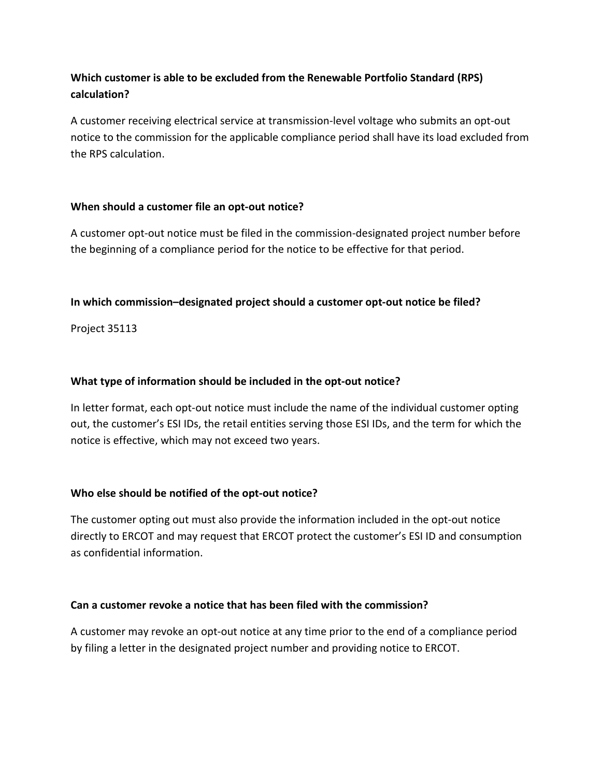# **Which customer is able to be excluded from the Renewable Portfolio Standard (RPS) calculation?**

A customer receiving electrical service at transmission-level voltage who submits an opt-out notice to the commission for the applicable compliance period shall have its load excluded from the RPS calculation.

# **When should a customer file an opt-out notice?**

A customer opt-out notice must be filed in the commission-designated project number before the beginning of a compliance period for the notice to be effective for that period.

## **In which commission–designated project should a customer opt-out notice be filed?**

Project 35113

## **What type of information should be included in the opt-out notice?**

In letter format, each opt-out notice must include the name of the individual customer opting out, the customer's ESI IDs, the retail entities serving those ESI IDs, and the term for which the notice is effective, which may not exceed two years.

# **Who else should be notified of the opt-out notice?**

The customer opting out must also provide the information included in the opt-out notice directly to ERCOT and may request that ERCOT protect the customer's ESI ID and consumption as confidential information.

### **Can a customer revoke a notice that has been filed with the commission?**

A customer may revoke an opt-out notice at any time prior to the end of a compliance period by filing a letter in the designated project number and providing notice to ERCOT.